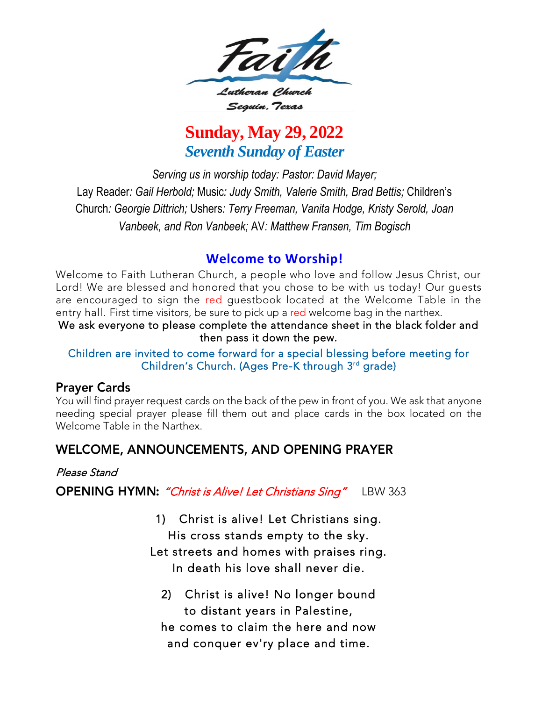

# **Sunday, May 29, 2022** *Seventh Sunday of Easter*

*Serving us in worship today: Pastor: David Mayer;* Lay Reader*: Gail Herbold;* Music*: Judy Smith, Valerie Smith, Brad Bettis;* Children's Church*: Georgie Dittrich;* Ushers*: Terry Freeman, Vanita Hodge, Kristy Serold, Joan Vanbeek, and Ron Vanbeek;* AV*: Matthew Fransen, Tim Bogisch*

**Welcome to Worship!**<br>Welcome to Faith Lutheran Church, a people who love and follow Jesus Christ, our Lord! We are blessed and honored that you chose to be with us today! Our quests are encouraged to sign the red guestbook located at the Welcome Table in the entry hall. First time visitors, be sure to pick up a red welcome bag in the narthex.

We ask everyone to please complete the attendance sheet in the black folder and then pass it down the pew.

### Children are invited to come forward for a special blessing before meeting for Children's Church (Ages Pre-K through 3rd grade) Children's Church. (Ages Pre-K through 3<sup>rd</sup>  $\mathcal{G}$

### **Prayer Cards**

You will find prayer request cards on the back of the pew in front of you. We ask that anyone<br>needing special prayer please fill them out and place cards in the box located on the Welcome Table in the Narthex. Welcome Table in the Narthex.

### **WELCOME, ANNOUNCEMENTS, AND OPENING PRAYER**

### Please Stand

OPENING HYMN: "Christ is Alive! Let Christians Sing" LBW 363

- 1) Christ is alive! Let Christians sing. Let streets and homes with praises ring. In death his love shall never die. In death his love shall never die.
	- Christ is alive! No longer bound 2) Christ is alive! No longer bo<br>to distant years in Palestine, he comes to claim the here and now he comes to claim the here and now here. and conquer ev'ry place and time.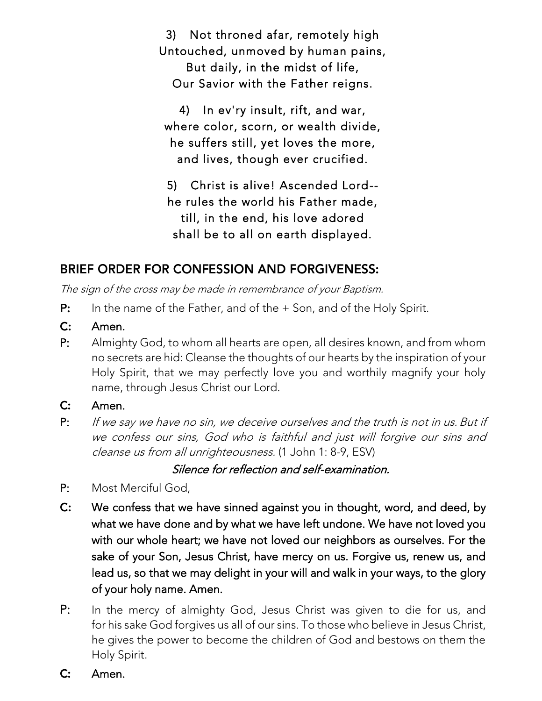3) Not throned afar, remotely high But daily, in the midst of life, Our Savior with the Father reigns. Our Savior with the Father reigns.

4) In ev'ry insult, rift, and war, where color, scorn, or wealth divide,<br>he suffers still, yet loves the more, he suffers still, yet loves the more, and lives, though ever crucified.

5) Christ is alive! Ascended Lord-he rules the world his Father made, till, in the end, his love adored shall be to all on earth displayed. shall be to all on earth displayed.

# **BRIEF ORDER FOR CONFESSION AND FORGIVENESS:**

The sign of the cross may be made in remembrance of your Baptism.

- $P:$ In the name of the Father, and of the + Son, and of the Holy Spirit.
- $C:$
- $P<sub>1</sub>$ Almighty God, to whom all hearts are open, all desires known, and from whom no secrets are hid: Cleanse the thoughts of our hearts by the inspiration of your Holy Spirit, that we may perfectly love you and worthily magnify your holy Holy Spirit, that we may perfectly love you and worthing maging your holy name, through Jesus Christ our Lord.
- $C:$
- Amen. P: If we say we have no sin, we deceive ourselves and the truth is not in us. But if<br>We confere our sins, God who is faithful and just will forgive our sins and we confess our sins, God who is faithful and just will forgive our sins and cleanse us from all unrighteousness. (1 John 1: 8-9, ESV)

Silence for reflection and self-examination.

- $P<sub>1</sub>$ Most Merciful God.
- C: We confess that we have sinned against you in thought, word, and deed, by what we have done and by what we have left undone. We have not loved you with our whole heart; we have not loved our neighbors as ourselves. For the sake of your Son, Jesus Christ, have mercy on us. Forgive us, renew us, and lead us, so that we may delight in your will and walk in your ways, to the glory of your holy name. Amen.
- $P:$ In the mercy of almighty God, Jesus Christ was given to die for us, and for his sake God forgives us all of our sins. To those who believe in Jesus Christ, for the eart God forgives as an exemption of our since who believe in Jesus Christ, he gives the power to become the children of God and bestows on them the Holy Spirit.
- $\mathsf{C}$ : Amen.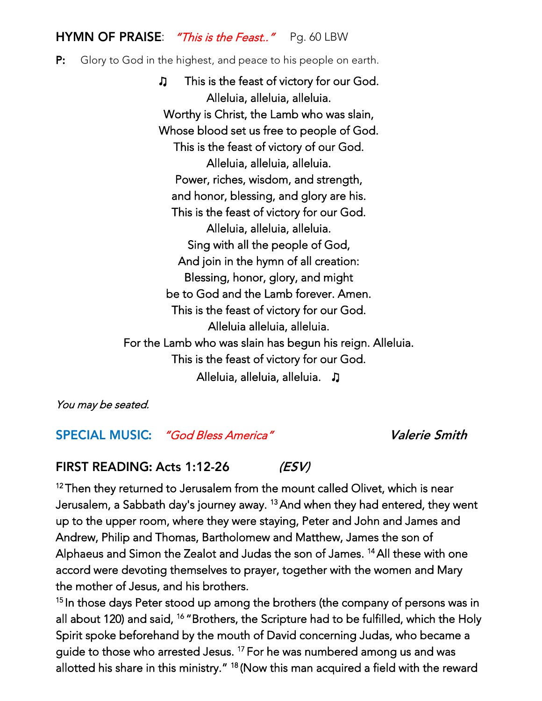### HYMN OF PRAISE: "This is the Feast.." Pg. 60 LBW

### $P:$ Glory to God in the highest, and peace to his people on earth.

♫ This is the feast of victory for our God. Worthy is Christ, the Lamb who was slain, Whose blood set us free to people of God. This is the feast of victory of our God. Alleluia, alleluia, alleluia. Power, riches, wisdom, and strength, and honor, blessing, and glory are his. This is the feast of victory for our God. Alleluia, alleluia, alleluia. Sing with all the people of God, And join in the hymn of all creation: Blessing, honor, glory, and might be to God and the Lamb forever. Amen. This is the feast of victory for our God. Alleluia alleluia, alleluia. For the Lamb who was slain has begun his reign. Alleluia. This is the feast of victory for our God. This is the feast of victory for our God. Alleluia, alleluia, alleluia. <mark>♪</mark>

You may be seated.

**SPECIAL MUSIC:** "God Bless America" **Valerie Smith** 

 $(ESV)$ **FIRST READING: Acts 1:12-26** 

12Then they returned to Jerusalem from the mount called Olivet, which is near<br>Jerusalem a Sabbath davis is wear away 13 And when they had artered thaw Jerusalem, a Sabbath day's journey away. <sup>13</sup> And when they had entered, they went<br>we to the was a google where they were staring. Peter and John and James and d up to the upper room, where they were staying, Peter and John and James and<br>Andrew, Philip and Thomas, Bartholomew and Matthew, James the son of Andrew, Philip and Thomas, Bartholomew and Matthews, James the son of the son of the son of accord were devoting themselves to prayer, together with the women and Mary **14All these with one**<br>2014 and the main forms the mother of Jesus, and his brothers.

the mother of Jesus, and his brothers. 15 In those days Peter stood up among the brothers (the company of persons was in Spirit spoke beforehand by the mouth of David concerning Judas, who became a <sup>16</sup> Brothers, the Scripture had to be fulfilled, which the Holy<br>Unit had the month of David concerning hades, who hopens on guide to those who arrested Jesus.<sup>17</sup> For he was numbered among us and was guide to those who arrested Jesus. " For he was numbered among us and was gaude to those who are detected and w<br>Allatted his share in this ministry " 18 (Navy this map convinced a field with the rev allotted his share in this ministry. "Thow this man acquired a field with the reward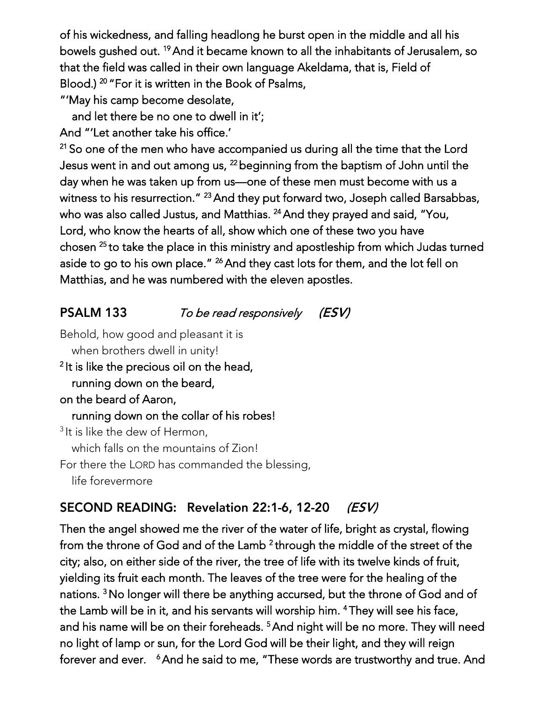of his wickedness, and falling headlong he burst open in the middle and all his<br>bowels qushed out. <sup>19</sup> And it became known to all the inhabitants of Jerusalem, so bowels gushed out. " And it became known to all the inhabitants of Jerusalem, so<br>that the field wee celled in their cure lenguage. Alceldame, that is Field of that the field was called in their own language Akeldama, that is, Field of <sup>20</sup> For it is written in the Book of Fsaims,<br>is some because desclate

"'May his camp become desolate,

and let there be no one to dwell in it';

And "'Let another take his office.'

 $21$  So one of the men who have accompanied us during all the time that the Lord Jesus went in and out among us,  $^{22}$  beginning from the baptism of John until the Jesus went in and out among us, <sup>22</sup>beginning from the baptism of John until the day when he was taken up from us—one of these men must become with us that us a with the resurrection."<br>"The with also called brating" - And they put forward two, Joseph called Barsabbas,<br>and Matthias, 24 And they named and said. "You Lord, who know the hearts of all, show which one of these two you have <sup>-</sup> And they prayed and said, "You,"<br>ish and of these two you have Lord, who know the hearts of all, show which or  $\mu$  all, show which one of the hearts of these two you have two you to take the take the place in this ministry and aposition procedure in this state cannot aside to go to mo campiace. <sup>26</sup>And they cast lots for them, and the lot fell on Matthias, and he was numbered with the eleven apostles.

### To be read responsively  $(ESV)$

Behold, how good and pleasant it is when brothers dwell in unity of the set of the set of the set of the set of the set of the set of the set of t<br>Protein unity of the set of the set of the set of the set of the set of the set of the set of the set of the s 2 running down on the beard, on the beard of Aaron, running down on the collar of his robes! running down on the collar of his robes! which falls on the mountains of Zion! which falls on the mountains of  $\frac{1}{2}$ For there the LORD has commanded the blessing, life forevermore

### SECOND READING: Revelation 22:1-6, 12-20 (ESV)

Then the angel showed me the river of the water of life, bright as crystal, flowing from the throne of God and of the Lamb County of the middle of the middle of the street of the middle of the m<br>through the street of the middle of the street of the street of the street of the street of the development. 2 yielding its fruit each month. The leaves of the tree were for the healing of the yielding its fruit each month. The leaves of the tree were for the healing of the<br>trainers 3 Mechanism illusions has anothing a connected but the theory of Carl and the Lamb will be in it, and his servants will worship him. <sup>4</sup>They will see his face, <sup>3</sup>No longer will there be anything accursed, but the throne of God and of the Lamb will be in it, and his servants will worship him. They will see his face,<br>and his name will be an their famboods. 5 And night will be no many Thouwill. no light of lamp or sun, for the Lord God will be their light, and they will reign <sup>5</sup>And night will be no more. They will need no light of lamp of lam, for the Lord God will be the light, and they will be the sun, and they forever and ever. The did to me, These words are trustworthy and true. And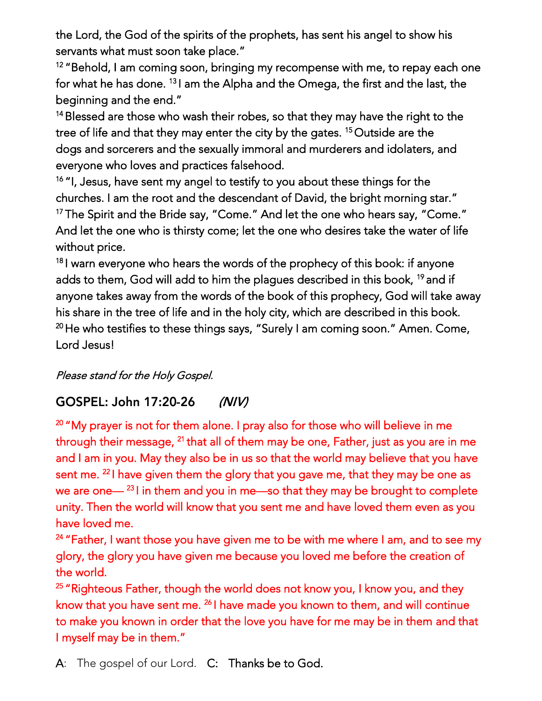the Lord, the God of the spirits of the prophets, has sent his angel to show his servants what must soon take place."

servants what must soon take place."  $12$  behold, I am coming soon, bringing my recompense with me, to repay each one  $\epsilon$ beginning and the end." for what he has done. <sup>13</sup> I am the Alpha and the Omega, the first and the last, the I am the Alpha and the Omega, the first and the last, the

<sup>14</sup> Blessed are those who wash their robes, so that they may have the right to the tree of life and that they may enter the city by the gates. <sup>15</sup> Outside are the tree of life and that they may enter the city by the gates. "Outside are the everyone who loves and practices falsehood.

<sup>16</sup> "I, Jesus, have sent my angel to testify to you about these things for the churches. I am the root and the descendant of David, the bright morning star." <sup>17</sup> The Spirit and the Bride say, "Come." And let the one who hears say, "Come." The Spirit and the Bride say, "Come." And let the one who hears say, "Come."<br>And let the one who is thirst, comes let the one who decime take the water of life. And let the one who is thirsty come; let the one who desires take the water of life

without price.<br>18 Leonard December 18 I warn every one who hears are noted of the prophecy of this book: if anyone<br>Ideas the words of the problem in the prophecy of the prophecy of the problem in this book: 19 and if anyone takes away from the words of the book of this prophecy, God will take away <sup>19</sup>and if his share in the tree of life and in the holy city, which are described in this book. his share in the tree of life and in the holy city, which are described in this book. <sup>2</sup> He who testifies to these things says, "Surely I am coming soon." Amen. Come, "<br>Land Jacool Lord Jesus!

Please stand for the Holy Gospel.

### GOSPEL: John 17:20-26  $(N/V)$

<sup>20</sup>"My prayer is not for them alone. I pray also for those who will believe in me through their message, what all of their may be one, Father, just as you are in me<br>and Law in men. Mandam also he in me as that the medal went halfs as that men in 21 and I am in you. May they also be in us so that the world may believe that you have the world. sent me. That you have and you gave given the glory that you gave me, that was property the sense as 22 we are one— I in the mean and you in me—so that they may be brought to complete.<br>In the Them the would will be evident too combine and here been detected them are as well. unity. Then the world will know that you sent me and have loved them even as you.<br>Even loved the

have loved me.<br>24 H Fatham Lucan <sup>24</sup>" Father, I want those you have given me to be with me where I am, and to see my<br>elements alemany have always we have you loved we had not be appeting of glory, the glory you have given me because you loved me before the creation of

<sup>25</sup> "Righteous Father, though the world does not know you, I know you, and they <sup>25</sup> Righteous Father, though the world does not know you, I know you, and they<br>linewithet you have continued?<sup>6</sup> have meals you linewith them, and will continue know that you have sent me. I have made you known to them, and me continue.<br>In the made you known to them, and will continue have me have for me men have to them, and the 26 to make you known in order that the love you have for me may be in them and that I myself may be in them."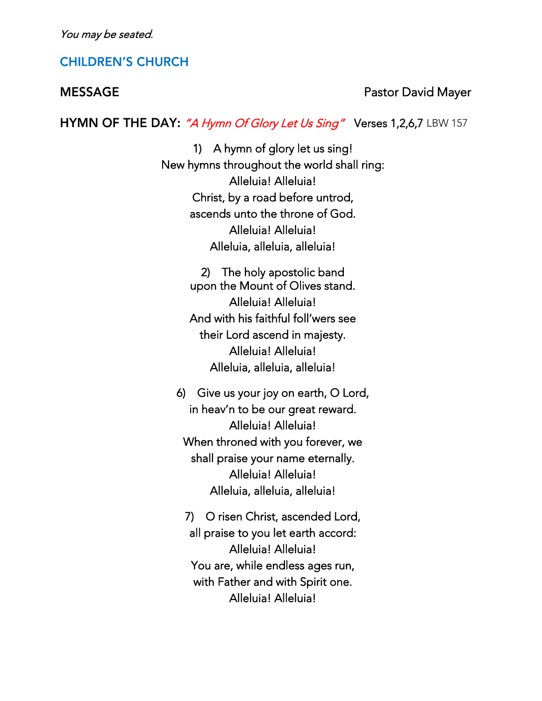You may be seated.

### **CHILDREN'S CHURCH**

### **MESSAGE**

Pastor David Mayer

HYMN OF THE DAY: "A Hymn Of Glory Let Us Sing" Verses 1,2,6,7 LBW 157

1) A hymn of glory let us sing!<br>New hymns throughout the world shall ring: Alleluia! Alleluia! Christ, by a road before untrod, ascends unto the throne of God. Alleluia! Alleluia! alleluia alleluia.<br>Internalleluterrellelu Alleluia, alleluia, alleluia!

> The holy apostolic band 2) The holy apostolic band Alleluia! Alleluia! And with his faithful foll'wers see their Lord ascend in majesty. Alleluia! Alleluia! alleluia alleluia.<br>Internalleluterrellelu Alleluia, alleluia, alleluia!

6) Give us your joy on earth, O Lord, Alleluia! Alleluia! When throned with you forever, we shall praise your name eternally. Alleluia! Alleluia! alleluia alleluia.<br>Internalleluterrellelu Alleluia, alleluia, alleluia!

7) O risen Christ, ascended Lord, all praise to you let earth accord: Alleluia! Alleluia! You are, while endless ages run, with Father and with Spirit one. Alleluia! Alleluia! Alleluia! Alleluia!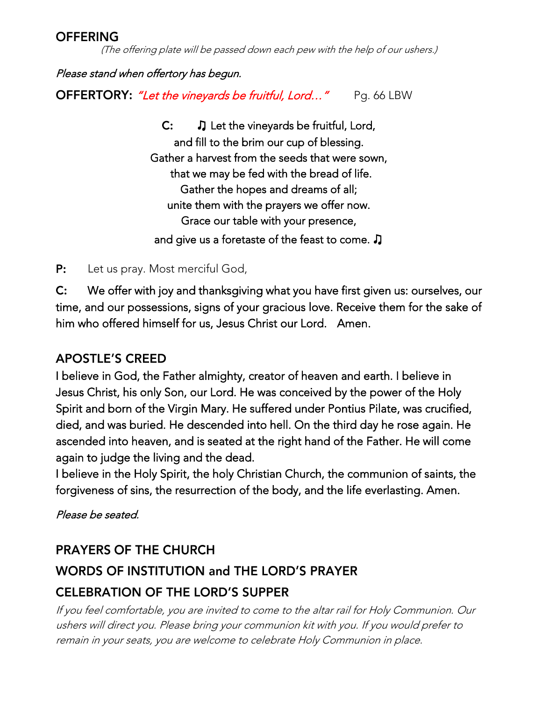### **OFFERING**

(The offering plate will be passed down each pew with the help of our ushers.)

Please stand when offertory has begun.

OFFERTORY: "Let the vineyards be fruitful, Lord..." Pg. 66 LBW

 $\mathsf{C:}\qquad \mathsf{\Gamma}$  Let the vineyards be fruitful, Lord,<br>and fill to the brim our cup of blessing. Gather a harvest from the seeds that were sown, that we may be fed with the bread of life. Gather the hopes and dreams of all; unite them with the prayers we offer now. Grace our table with your presence, Grace our table with your presence, and give us a foretaste of the feast to come.  $\textcolor{orange}\mathsf{J}$ 

 $P:$  $\sum_{i=1}^{n}$ 

C: We offer with joy and thanksgiving what you have first given us: ourselves, our time, and our possessions, signs of your gracious love. Receive them for the sake of  $C:$ him who offered himself for us, Jesus Christ our Lord. Amen. him who offered himself for us, Jesus Christ our Lord. Amen.

### **APOSTLE'S CREED**

I believe in God, the Father almighty, creator of heaven and earth. I believe in<br>Jesus Christ, his only Son, our Lord. He was conceived by the power of the Holy Spirit and born of the Virgin Mary. He suffered under Pontius Pilate, was crucified, died, and was buried. He descended into hell. On the third day he rose again. He ascended into heaven, and is seated at the right hand of the Father. He will come again to judge the living and the dead.

I believe in the Holy Spirit, the holy Christian Church, the communion of saints, the I believe in the Holy Spirit, the Holy Christian Church, the communion of saints, the f forgiveness of sins, the resurrection of the body, and the life everlasting. Amen.

Please be seated.

# **PRAYERS OF THE CHURCH WORDS OF INSTITUTION and THE LORD'S PRAYER CELEBRATION OF THE LORD'S SUPPER**

If you feel comfortable, you are invited to come to the altar rail for Holy Communion. Our ushers will direct you. Please bring your communion kit with you. If you would prefer to remain in your seats, you are welcome to celebrate Holy Communion in place.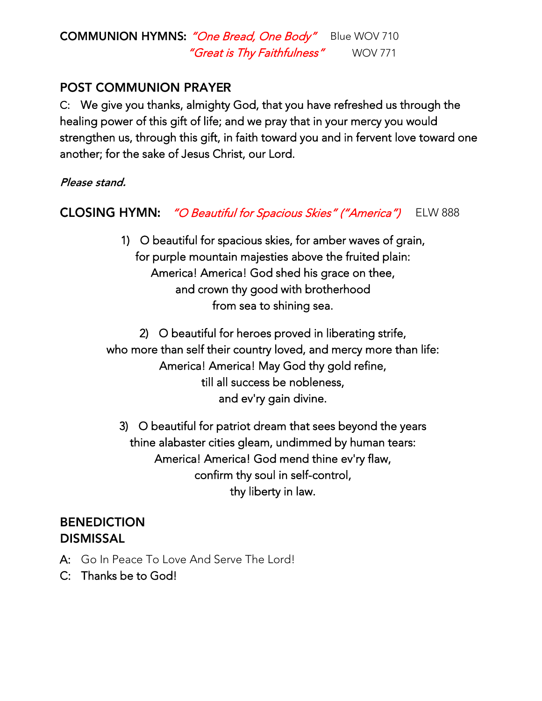### **COMMUNION HYMNS:** "One Bread, One Body" Blue WOV 710<br>"Great is Thy Faithfulness" WOV 771 "Great is Thy Faithfulness"

### **POST COMMUNION PRAYER**

C: We give you thanks, almighty God, that you have refreshed us through the healing power of this gift of life; and we pray that in your mercy you would strengthen us, through this gift, in faith toward you and in fervent love toward one another; for the sake of Jesus Christ, our Lord. another; for the sake of Jesus Christ, our Lord.

**CLOSING HYMN:** "O Beautiful for Spacious Skies" ("America") ELW 888

> 1) O beautiful for spacious skies, for amber waves of grain, America! America! God shed his grace on thee, and crown thy good with brotherhood and crown thy good with brother bro from sea to shining sea.

2) O beautiful for heroes proved in liberating strife, who more than self their country loved, and mercy more than life: America! America! May God thy gold refine, till all success be nobleness, till all success be noble interesse. and ev'ry gain divine.

3) O beautiful for patriot dream that sees beyond the years thine alabaster cities gleam, undimmed by human tears: thine alabaster cities gleam, undimmed by human tears: America! America! God mend thine ev'ry flaw, community soul in self-control,  $t_{\rm f}$  in lay  $t_{\rm f}$ 

## **BENEDICTION DISMISSAL**

- A: Go In Peace To Love And Serve The Lord!<br>C: Thanks be to God!
- C: Thanks be to God!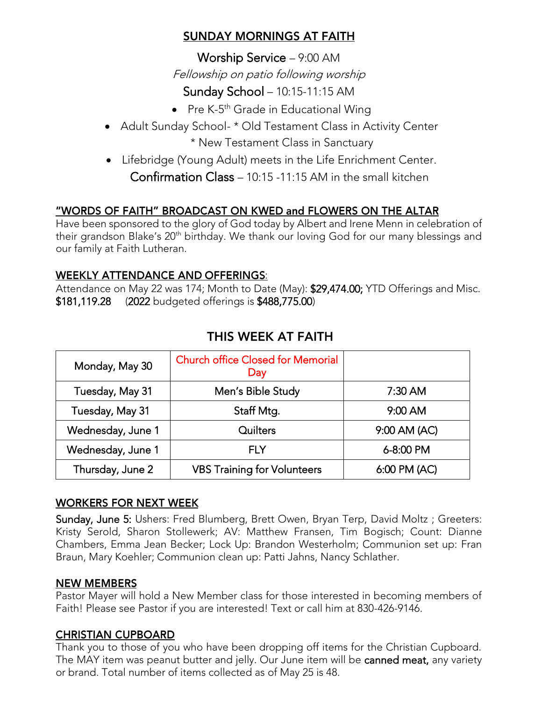### SUNDAY MORNINGS AT FAITH

worship Service – 9:00 AM Fellowship on patio following worship

- Sunday School 10:15-11:15 AM<br>President 10:15-11:15 AM Pre K-5 th Grade in Educational Wing
- Adult Sunday School- \* Old Testament Class in Activity Center<br>• New Testament Class in Sanctuary

\* New Testament Class in Cancellary • Lifebridge (Young Adult) meets in the Life Enrichment Center.<br> $G = \frac{G}{\sqrt{2\pi}} \int_{-\infty}^{\infty} \frac{G}{\sqrt{2\pi}} \int_{-\infty}^{\infty} \frac{G}{\sqrt{2\pi}} \int_{-\infty}^{\infty} \frac{G}{\sqrt{2\pi}} \int_{-\infty}^{\infty} \frac{G}{\sqrt{2\pi}} \int_{-\infty}^{\infty} \frac{G}{\sqrt{2\pi}} \int_{-\infty}^{\infty} \frac{G}{\sqrt{2\$ Confirmation Class – 10:15 -11:15 AM in the small kitchen

### "WORDS OF FAITH" BROADCAST ON KWED and FLOWERS ON THE ALTAR

Have been spensored to the glory of God today by Albert and Irene Menn in celebration of<br>their arandson Blake's 20th birthday. We thank our loving God for our many blessings and their grandson Blake's 20th birthday. We thank our loving God for our many blessings and<br>our family at Eaith Lutheran our family at Faith Lutheran.

WEEKLY ATTENDANCE AND OFFERINGS:<br>Attendance on May 22 was 174; Month to Date (May): \$29,474.00; YTD Offerings and Misc. \$181,119.28 (2022 budgeted offerings is \$488,775.00) \$181,119.28 (2022 budgeted offerings is \$488,775.00)

| Monday, May 30    | <b>Church office Closed for Memorial</b><br>Day |              |
|-------------------|-------------------------------------------------|--------------|
| Tuesday, May 31   | Men's Bible Study                               | $7:30$ AM    |
| Tuesday, May 31   | Staff Mtg.                                      | 9:00 AM      |
| Wednesday, June 1 | Quilters                                        | 9:00 AM (AC) |
| Wednesday, June 1 | FI Y                                            | 6-8:00 PM    |
| Thursday, June 2  | <b>VBS Training for Volunteers</b>              | 6:00 PM (AC) |

## THIS WEEK AT FAITH

### **WORKERS FOR NEXT WEEK**

Sunday, June 5: Ushers: Fred Blumberg, Brett Owen, Bryan Terp, David Moltz ; Greeters:<br>Kristy Serold, Sharon Stollewerk; AV: Matthew Fransen, Tim Bogisch; Count: Dianne Chambers, Emma Jean Becker; Lock Up: Brandon Westerholm; Communion set up: Fran Chambers, Emma Jean Becker; Lock Up: Brandon Westerholm; Communion set up: Fran Braun, Mary Koehler; Communion clean up: Patti Jahns, Nancy Schlather.

### **NEW MEMBERS**

Pastor Mayer will hold a New Member class for those interested in becoming members of<br>Faith! Please see Pastor if you are interested! Text or call him at 830-426-9146. Faith! Please see Pastor if you are interested! Text or call him at 830-426-9146.

### **CHRISTIAN CUPBOARD**

Thank you to those of you who have been dropping off items for the Christian Cupboard.<br>The MAY item was peanut butter and jelly. Our June item will be **canned meat,** any variety or brand. Total number of items collected as of May 25 is 48. or brand. Total number of items collected as of May 25 is 48.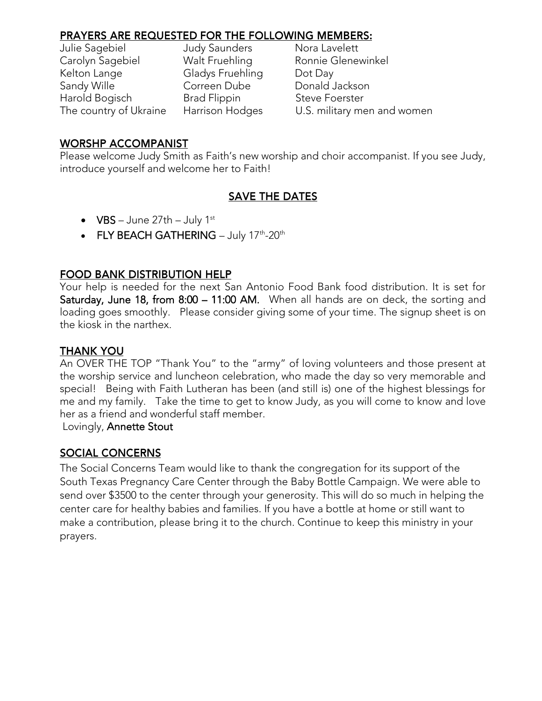| Julie Sagebiel         | <b>Judy Saunders</b> | Nora Lavelett               |
|------------------------|----------------------|-----------------------------|
| Carolyn Sagebiel       | Walt Fruehling       | Ronnie Glenewinkel          |
| Kelton Lange           | Gladys Fruehling     | Dot Day                     |
| Sandy Wille            | Correen Dube         | Donald Jackson              |
| Harold Bogisch         | <b>Brad Flippin</b>  | <b>Steve Foerster</b>       |
| The country of Ukraine | Harrison Hodges      | U.S. military men and women |
|                        |                      |                             |

i<br>L avelett

### **WORSHP ACCOMPANIST**

 $\frac{1}{2}$  introduce vourself and welcome her to Faith! introduce yourself and welcome her to Faith!

### **SAVE THE DATES**

- $\bullet$  VBS June 27th July 1st
- FLY BEACH GATHERING July 17<sup>th</sup>-20<sup>th</sup>

### **FOOD BANK DISTRIBUTION HELP**

Your help is needed for the next San Antonio Food Bank food distribution. It is set for<br>Saturday, June 18, from 8:00 – 11:00 AM. When all hands are on deck, the sorting and loading goes smoothly. Please consider giving some of your time. The signup sheet is on the kiosk in the narthex. the kiosk in the narthex.

### **THANK YOU**

An OVER THE TOP "Thank You" to the "army" of loving volunteers and those present at the worship service and luncheon celebration, who made the day so very memorable and special! Being with Faith Lutheran has been (and still is) one of the highest blessings for me and my family. Take the time to get to know Judy, as you will come to know and love her as a friend and wonderful staff member.

Lovingly, Annette Stout Lovingly, Annette Stout

### **SOCIAL CONCERNS**

The Social Concerns Team would like to thank the congregation for its support of the<br>South Texas Pregnancy Care Center through the Baby Bottle Campaign. We were able to send over \$3500 to the center through your generosity. This will do so much in helping the center care for healthy babies and families. If you have a bottle at home or still want to make a contribution, please bring it to the church. Continue to keep this ministry in your make a contribution, please bring it to the church. Continue to keep this ministry in your prayers.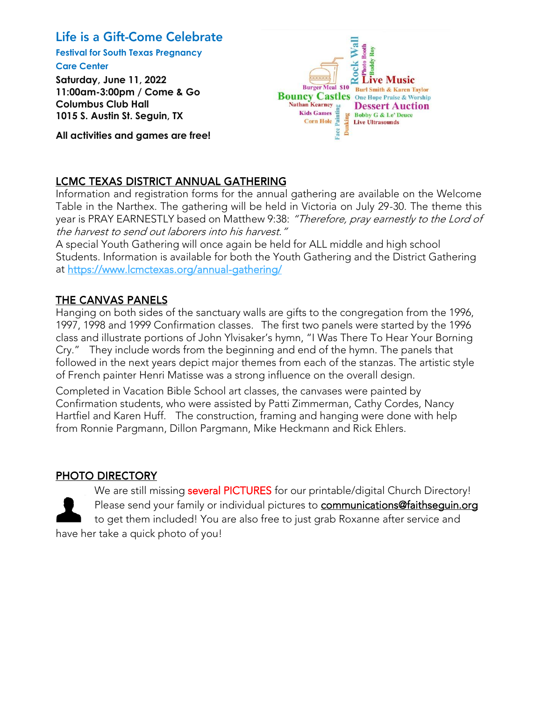### Life is a Gift-Come Celebrate

**Festival for South Texas Pregnancy Care Center**

**Saturday, June 11, 2022 11:00am-3:00pm / Come & Go Columbus Club Hall 1015 S. Austin St. Seguin, TX**

**All activities and games are free!**



### **LCMC TEXAS DISTRICT ANNUAL GATHERING**

Information and registration forms for the annual gathering are available on the Welcome year is PRAY EARNESTLY based on Matthew 9:38: "Therefore, pray earnestly to the Lord of the harvest to send out laborers into his harvest."

A special Youth Gathering will once again be held for ALL middle and high school<br>Students. Information is available for both the Youth Gathering and the District Gathering at https://www.lcmctexas.org/annual-gathering/ at <u>the heat https://www.lcmcteras.org/annual-gathering/</u>

### THE CANVAS PANELS

Hanging on both sides of the sanctuary walls are gifts to the congregation from the 1996,<br>1997, 1998 and 1999 Confirmation classes. The first two panels were started by the 1996 class and illustrate portions of John Ylvisaker's hymn, "I Was There To Hear Your Borning Cry." They include words from the beginning and end of the hymn. The panels that followed in the next years depict major themes from each of the stanzas. The artistic style of French painter Henri Matisse was a strong influence on the overall design.

Completed in Vacation Bible School art classes, the canvases were painted by Confirmation students, who were assisted by Patti Zimmerman, Cathy Cordes, Nancy Hartfiel and Karen Huff. The construction, framing and hanging were done with help from Ronnie Paromann, Dillon Paromann, Mike Heckmann and Rick Ehlers from Ronnie Pargmann, Dillon Pargmann, Mike Heckmann and Rick Ehlers.

### PHOTO DIRECTORY

have her take a quick photo of you!

We are still missing several PICTURES for our printable/digital Church Directory!<br>Please send your family or individual pictures to communications@faithsequin.org to get them included! You are also free to just grab Roxanne after service and to get them included! You are also free to just grab Roxanne after service and